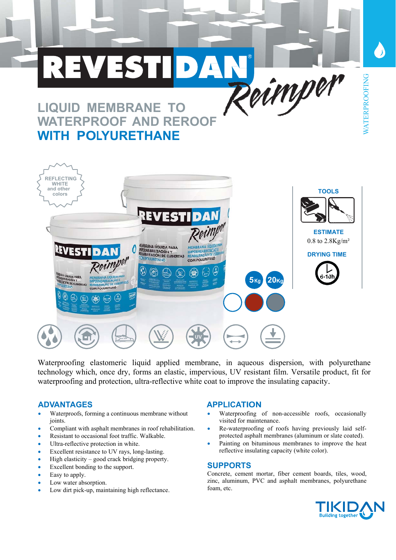

Waterproofing elastomeric liquid applied membrane, in aqueous dispersion, with polyurethane technology which, once dry, forms an elastic, impervious, UV resistant film. Versatile product, fit for waterproofing and protection, ultra-reflective white coat to improve the insulating capacity.

- Waterproofs, forming a continuous membrane without joints.
- Compliant with asphalt membranes in roof rehabilitation.
- Resistant to occasional foot traffic. Walkable.
- Ultra-reflective protection in white.
- Excellent resistance to UV rays, long-lasting.
- $\bullet$  High elasticity good crack bridging property.
- Excellent bonding to the support.
- Easy to apply.
- Low water absorption.
- Low dirt pick-up, maintaining high reflectance.

#### ADVANTAGES APPLICATION

- Waterproofing of non-accessible roofs, occasionally visited for maintenance.
- Re-waterproofing of roofs having previously laid selfprotected asphalt membranes (aluminum or slate coated).
- Painting on bituminous membranes to improve the heat reflective insulating capacity (white color).

#### **SUPPORTS**

Concrete, cement mortar, fiber cement boards, tiles, wood, zinc, aluminum, PVC and asphalt membranes, polyurethane foam, etc.